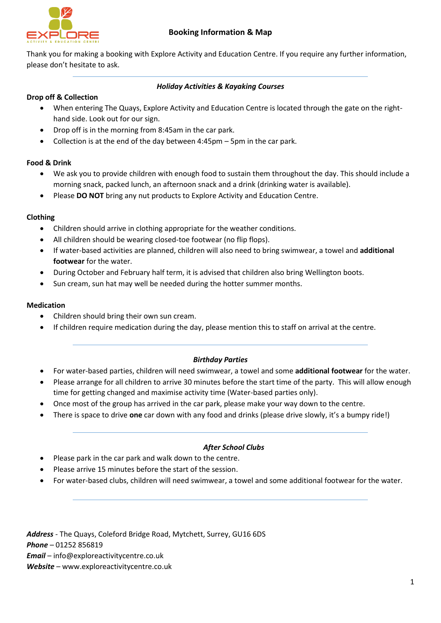

Thank you for making a booking with Explore Activity and Education Centre. If you require any further information, please don't hesitate to ask.

## *Holiday Activities & Kayaking Courses*

#### **Drop off & Collection**

- When entering The Quays, Explore Activity and Education Centre is located through the gate on the righthand side. Look out for our sign.
- Drop off is in the morning from 8:45am in the car park.
- Collection is at the end of the day between 4:45pm 5pm in the car park.

## **Food & Drink**

- We ask you to provide children with enough food to sustain them throughout the day. This should include a morning snack, packed lunch, an afternoon snack and a drink (drinking water is available).
- Please **DO NOT** bring any nut products to Explore Activity and Education Centre.

## **Clothing**

- Children should arrive in clothing appropriate for the weather conditions.
- All children should be wearing closed-toe footwear (no flip flops).
- If water-based activities are planned, children will also need to bring swimwear, a towel and **additional footwear** for the water.
- During October and February half term, it is advised that children also bring Wellington boots.
- Sun cream, sun hat may well be needed during the hotter summer months.

#### **Medication**

- Children should bring their own sun cream.
- If children require medication during the day, please mention this to staff on arrival at the centre.

#### *Birthday Parties*

- For water-based parties, children will need swimwear, a towel and some **additional footwear** for the water.
- Please arrange for all children to arrive 30 minutes before the start time of the party. This will allow enough time for getting changed and maximise activity time (Water-based parties only).
- Once most of the group has arrived in the car park, please make your way down to the centre.
- There is space to drive **one** car down with any food and drinks (please drive slowly, it's a bumpy ride!)

# *After School Clubs*

- Please park in the car park and walk down to the centre.
- Please arrive 15 minutes before the start of the session.
- For water-based clubs, children will need swimwear, a towel and some additional footwear for the water.

*Address -* The Quays, Coleford Bridge Road, Mytchett, Surrey, GU16 6DS *Phone –* 01252 856819 *Email –* info@exploreactivitycentre.co.uk *Website –* www.exploreactivitycentre.co.uk